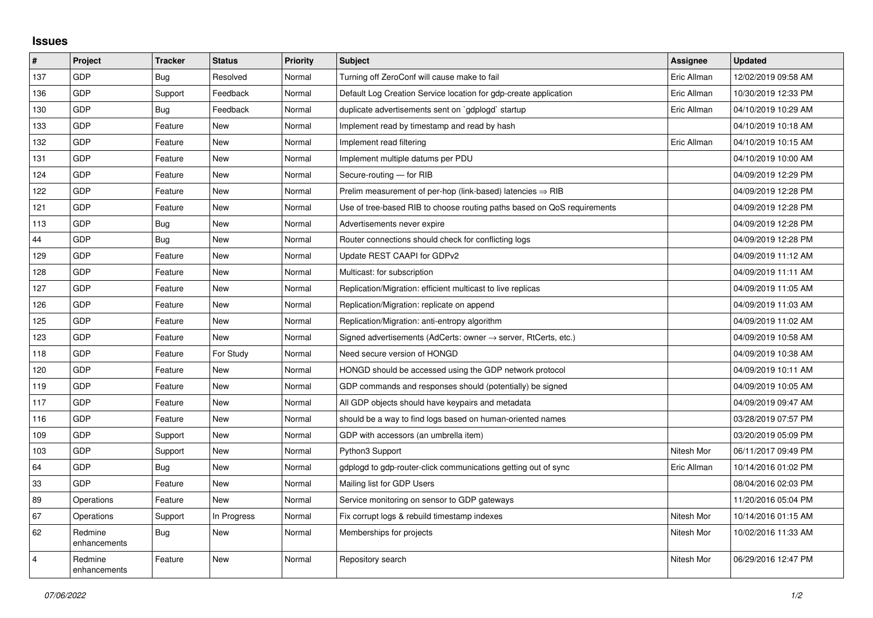## **Issues**

| $\sharp$       | Project                 | <b>Tracker</b> | <b>Status</b> | <b>Priority</b> | <b>Subject</b>                                                             | Assignee    | <b>Updated</b>      |
|----------------|-------------------------|----------------|---------------|-----------------|----------------------------------------------------------------------------|-------------|---------------------|
| 137            | <b>GDP</b>              | Bug            | Resolved      | Normal          | Turning off ZeroConf will cause make to fail                               | Eric Allman | 12/02/2019 09:58 AM |
| 136            | GDP                     | Support        | Feedback      | Normal          | Default Log Creation Service location for gdp-create application           | Eric Allman | 10/30/2019 12:33 PM |
| 130            | GDP                     | Bug            | Feedback      | Normal          | duplicate advertisements sent on `gdplogd` startup                         | Eric Allman | 04/10/2019 10:29 AM |
| 133            | <b>GDP</b>              | Feature        | <b>New</b>    | Normal          | Implement read by timestamp and read by hash                               |             | 04/10/2019 10:18 AM |
| 132            | <b>GDP</b>              | Feature        | <b>New</b>    | Normal          | Implement read filtering                                                   | Eric Allman | 04/10/2019 10:15 AM |
| 131            | GDP                     | Feature        | <b>New</b>    | Normal          | Implement multiple datums per PDU                                          |             | 04/10/2019 10:00 AM |
| 124            | GDP                     | Feature        | <b>New</b>    | Normal          | Secure-routing - for RIB                                                   |             | 04/09/2019 12:29 PM |
| 122            | <b>GDP</b>              | Feature        | <b>New</b>    | Normal          | Prelim measurement of per-hop (link-based) latencies $\Rightarrow$ RIB     |             | 04/09/2019 12:28 PM |
| 121            | GDP                     | Feature        | <b>New</b>    | Normal          | Use of tree-based RIB to choose routing paths based on QoS requirements    |             | 04/09/2019 12:28 PM |
| 113            | GDP                     | <b>Bug</b>     | <b>New</b>    | Normal          | Advertisements never expire                                                |             | 04/09/2019 12:28 PM |
| 44             | GDP                     | Bug            | <b>New</b>    | Normal          | Router connections should check for conflicting logs                       |             | 04/09/2019 12:28 PM |
| 129            | GDP                     | Feature        | <b>New</b>    | Normal          | Update REST CAAPI for GDPv2                                                |             | 04/09/2019 11:12 AM |
| 128            | <b>GDP</b>              | Feature        | <b>New</b>    | Normal          | Multicast: for subscription                                                |             | 04/09/2019 11:11 AM |
| 127            | <b>GDP</b>              | Feature        | <b>New</b>    | Normal          | Replication/Migration: efficient multicast to live replicas                |             | 04/09/2019 11:05 AM |
| 126            | <b>GDP</b>              | Feature        | <b>New</b>    | Normal          | Replication/Migration: replicate on append                                 |             | 04/09/2019 11:03 AM |
| 125            | <b>GDP</b>              | Feature        | <b>New</b>    | Normal          | Replication/Migration: anti-entropy algorithm                              |             | 04/09/2019 11:02 AM |
| 123            | <b>GDP</b>              | Feature        | <b>New</b>    | Normal          | Signed advertisements (AdCerts: owner $\rightarrow$ server, RtCerts, etc.) |             | 04/09/2019 10:58 AM |
| 118            | GDP                     | Feature        | For Study     | Normal          | Need secure version of HONGD                                               |             | 04/09/2019 10:38 AM |
| 120            | <b>GDP</b>              | Feature        | <b>New</b>    | Normal          | HONGD should be accessed using the GDP network protocol                    |             | 04/09/2019 10:11 AM |
| 119            | <b>GDP</b>              | Feature        | <b>New</b>    | Normal          | GDP commands and responses should (potentially) be signed                  |             | 04/09/2019 10:05 AM |
| 117            | GDP                     | Feature        | <b>New</b>    | Normal          | All GDP objects should have keypairs and metadata                          |             | 04/09/2019 09:47 AM |
| 116            | <b>GDP</b>              | Feature        | <b>New</b>    | Normal          | should be a way to find logs based on human-oriented names                 |             | 03/28/2019 07:57 PM |
| 109            | <b>GDP</b>              | Support        | <b>New</b>    | Normal          | GDP with accessors (an umbrella item)                                      |             | 03/20/2019 05:09 PM |
| 103            | <b>GDP</b>              | Support        | <b>New</b>    | Normal          | Python3 Support                                                            | Nitesh Mor  | 06/11/2017 09:49 PM |
| 64             | <b>GDP</b>              | Bug            | <b>New</b>    | Normal          | gdplogd to gdp-router-click communications getting out of sync             | Eric Allman | 10/14/2016 01:02 PM |
| 33             | <b>GDP</b>              | Feature        | <b>New</b>    | Normal          | Mailing list for GDP Users                                                 |             | 08/04/2016 02:03 PM |
| 89             | Operations              | Feature        | <b>New</b>    | Normal          | Service monitoring on sensor to GDP gateways                               |             | 11/20/2016 05:04 PM |
| 67             | Operations              | Support        | In Progress   | Normal          | Fix corrupt logs & rebuild timestamp indexes                               | Nitesh Mor  | 10/14/2016 01:15 AM |
| 62             | Redmine<br>enhancements | Bug            | <b>New</b>    | Normal          | Memberships for projects                                                   | Nitesh Mor  | 10/02/2016 11:33 AM |
| $\overline{4}$ | Redmine<br>enhancements | Feature        | <b>New</b>    | Normal          | Repository search                                                          | Nitesh Mor  | 06/29/2016 12:47 PM |